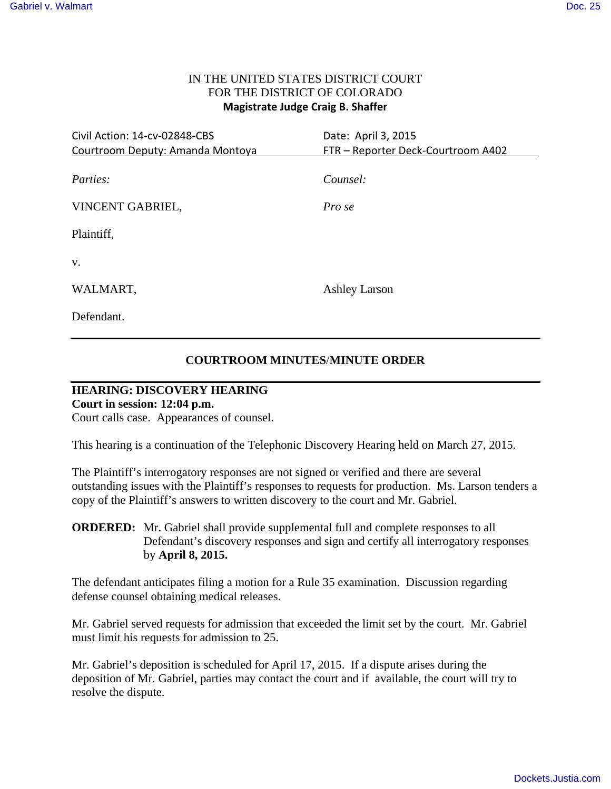### IN THE UNITED STATES DISTRICT COURT FOR THE DISTRICT OF COLORADO **Magistrate Judge Craig B. Shaffer**

| Civil Action: 14-cv-02848-CBS<br>Courtroom Deputy: Amanda Montoya | Date: April 3, 2015<br>FTR - Reporter Deck-Courtroom A402 |
|-------------------------------------------------------------------|-----------------------------------------------------------|
| Parties:                                                          | Counsel:                                                  |
| VINCENT GABRIEL,                                                  | Pro se                                                    |
| Plaintiff,                                                        |                                                           |
| V.                                                                |                                                           |
| WALMART,                                                          | <b>Ashley Larson</b>                                      |
| Defendant.                                                        |                                                           |

### **COURTROOM MINUTES**/**MINUTE ORDER**

# **HEARING: DISCOVERY HEARING**

## **Court in session: 12:04 p.m.**

Court calls case. Appearances of counsel.

This hearing is a continuation of the Telephonic Discovery Hearing held on March 27, 2015.

The Plaintiff's interrogatory responses are not signed or verified and there are several outstanding issues with the Plaintiff's responses to requests for production. Ms. Larson tenders a copy of the Plaintiff's answers to written discovery to the court and Mr. Gabriel.

The defendant anticipates filing a motion for a Rule 35 examination. Discussion regarding defense counsel obtaining medical releases.

Mr. Gabriel served requests for admission that exceeded the limit set by the court. Mr. Gabriel must limit his requests for admission to 25.

Mr. Gabriel's deposition is scheduled for April 17, 2015. If a dispute arises during the deposition of Mr. Gabriel, parties may contact the court and if available, the court will try to resolve the dispute.

**ORDERED:** Mr. Gabriel shall provide supplemental full and complete responses to all Defendant's discovery responses and sign and certify all interrogatory responses by **April 8, 2015.**